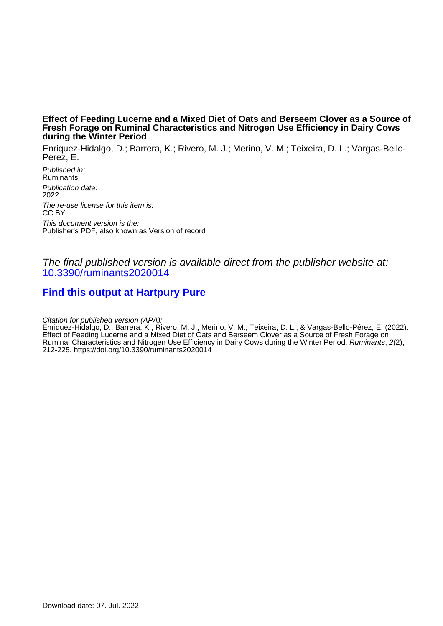## **Effect of Feeding Lucerne and a Mixed Diet of Oats and Berseem Clover as a Source of Fresh Forage on Ruminal Characteristics and Nitrogen Use Efficiency in Dairy Cows during the Winter Period**

Enriquez-Hidalgo, D.; Barrera, K.; Rivero, M. J.; Merino, V. M.; Teixeira, D. L.; Vargas-Bello-Pérez, E.

Published in: Ruminants Publication date: 2022 The re-use license for this item is: CC BY This document version is the: Publisher's PDF, also known as Version of record

# The final published version is available direct from the publisher website at: [10.3390/ruminants2020014](https://doi.org/10.3390/ruminants2020014)

# **[Find this output at Hartpury Pure](https://hartpury.pure.elsevier.com/en/publications/38859dfe-3623-4570-b35d-289b8be59d5f)**

Citation for published version (APA):

Enriquez-Hidalgo, D., Barrera, K., Rivero, M. J., Merino, V. M., Teixeira, D. L., & Vargas-Bello-Pérez, E. (2022). Effect of Feeding Lucerne and a Mixed Diet of Oats and Berseem Clover as a Source of Fresh Forage on Ruminal Characteristics and Nitrogen Use Efficiency in Dairy Cows during the Winter Period. Ruminants, 2(2), 212-225.<https://doi.org/10.3390/ruminants2020014>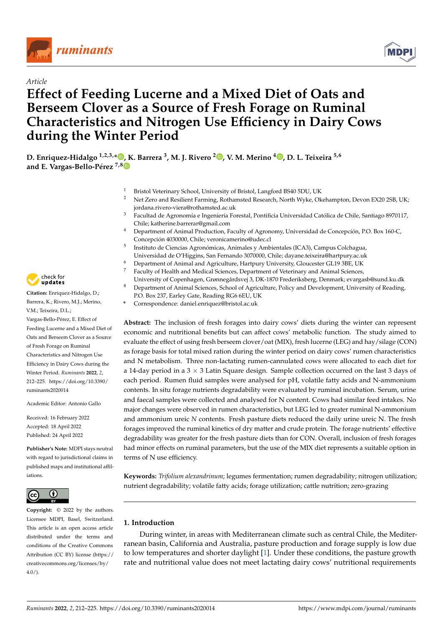

## *Article*

# **Effect of Feeding Lucerne and a Mixed Diet of Oats and Berseem Clover as a Source of Fresh Forage on Ruminal Characteristics and Nitrogen Use Efficiency in Dairy Cows during the Winter Period**

**D. Enriquez-Hidalgo 1,2,3,\* [,](https://orcid.org/0000-0002-6660-0354) K. Barrera <sup>3</sup> , M. J. Rivero <sup>2</sup> [,](https://orcid.org/0000-0002-9045-289X) V. M. Merino <sup>4</sup> [,](https://orcid.org/0000-0001-9310-5749) D. L. Teixeira 5,6 and E. Vargas-Bello-Pérez 7,[8](https://orcid.org/0000-0001-7105-5752)**

- <sup>1</sup> Bristol Veterinary School, University of Bristol, Langford BS40 5DU, UK<br><sup>2</sup> Net Zero and Bosilient Farming, Rothamstod Research Nerth Wyke Ok
- <sup>2</sup> Net Zero and Resilient Farming, Rothamsted Research, North Wyke, Okehampton, Devon EX20 2SB, UK; jordana.rivero-viera@rothamsted.ac.uk
- <sup>3</sup> Facultad de Agronomía e Ingeniería Forestal, Pontificia Universidad Católica de Chile, Santiago 8970117, Chile; katherine.barrerar@gmail.com
- <sup>4</sup> Department of Animal Production, Faculty of Agronomy, Universidad de Concepción, P.O. Box 160-C, Concepción 4030000, Chile; veronicamerino@udec.cl
- 5 Instituto de Ciencias Agronómicas, Animales y Ambientales (ICA3), Campus Colchagua, Universidad de O'Higgins, San Fernando 3070000, Chile; dayane.teixeira@hartpury.ac.uk
- <sup>6</sup> Department of Animal and Agriculture, Hartpury University, Gloucester GL19 3BE, UK
- Faculty of Health and Medical Sciences, Department of Veterinary and Animal Sciences,
- University of Copenhagen, Grønnegårdsvej 3, DK-1870 Frederiksberg, Denmark; evargasb@sund.ku.dk <sup>8</sup> Department of Animal Sciences, School of Agriculture, Policy and Development, University of Reading,
- P.O. Box 237, Earley Gate, Reading RG6 6EU, UK **\*** Correspondence: daniel.enriquez@bristol.ac.uk

**Abstract:** The inclusion of fresh forages into dairy cows' diets during the winter can represent economic and nutritional benefits but can affect cows' metabolic function. The study aimed to evaluate the effect of using fresh berseem clover/oat (MIX), fresh lucerne (LEG) and hay/silage (CON) as forage basis for total mixed ration during the winter period on dairy cows' rumen characteristics and N metabolism. Three non-lactating rumen-cannulated cows were allocated to each diet for a 14-day period in a  $3 \times 3$  Latin Square design. Sample collection occurred on the last 3 days of each period. Rumen fluid samples were analysed for pH, volatile fatty acids and N-ammonium contents. In situ forage nutrients degradability were evaluated by ruminal incubation. Serum, urine and faecal samples were collected and analysed for N content. Cows had similar feed intakes. No major changes were observed in rumen characteristics, but LEG led to greater ruminal N-ammonium and ammonium ureic *N* contents. Fresh pasture diets reduced the daily urine ureic N. The fresh forages improved the ruminal kinetics of dry matter and crude protein. The forage nutrients' effective degradability was greater for the fresh pasture diets than for CON. Overall, inclusion of fresh forages had minor effects on ruminal parameters, but the use of the MIX diet represents a suitable option in terms of N use efficiency.

**Keywords:** *Trifolium alexandrinum*; legumes fermentation; rumen degradability; nitrogen utilization; nutrient degradability; volatile fatty acids; forage utilization; cattle nutrition; zero-grazing

### **1. Introduction**

During winter, in areas with Mediterranean climate such as central Chile, the Mediterranean basin, California and Australia, pasture production and forage supply is low due to low temperatures and shorter daylight [\[1\]](#page-12-0). Under these conditions, the pasture growth rate and nutritional value does not meet lactating dairy cows' nutritional requirements



**Citation:** Enriquez-Hidalgo, D.; Barrera, K.; Rivero, M.J.; Merino, V.M.; Teixeira, D.L.; Vargas-Bello-Pérez, E. Effect of Feeding Lucerne and a Mixed Diet of Oats and Berseem Clover as a Source of Fresh Forage on Ruminal Characteristics and Nitrogen Use Efficiency in Dairy Cows during the Winter Period. *Ruminants* **2022**, *2*, 212–225. [https://doi.org/10.3390/](https://doi.org/10.3390/ruminants2020014) [ruminants2020014](https://doi.org/10.3390/ruminants2020014)

Academic Editor: Antonio Gallo

Received: 16 February 2022 Accepted: 18 April 2022 Published: 24 April 2022

**Publisher's Note:** MDPI stays neutral with regard to jurisdictional claims in published maps and institutional affiliations.



**Copyright:** © 2022 by the authors. Licensee MDPI, Basel, Switzerland. This article is an open access article distributed under the terms and conditions of the Creative Commons Attribution (CC BY) license [\(https://](https://creativecommons.org/licenses/by/4.0/) [creativecommons.org/licenses/by/](https://creativecommons.org/licenses/by/4.0/)  $4.0/$ ).

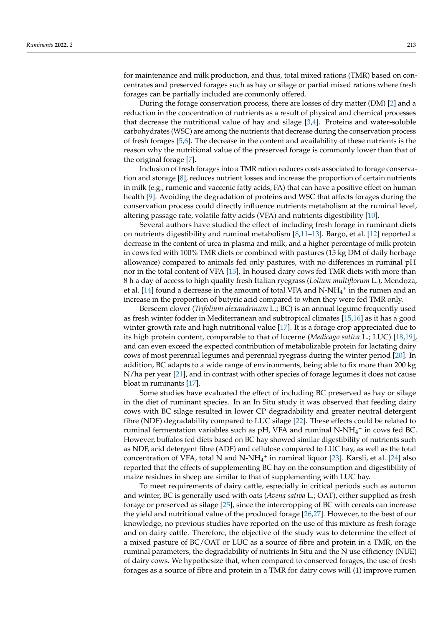for maintenance and milk production, and thus, total mixed rations (TMR) based on concentrates and preserved forages such as hay or silage or partial mixed rations where fresh forages can be partially included are commonly offered.

During the forage conservation process, there are losses of dry matter (DM) [\[2\]](#page-12-1) and a reduction in the concentration of nutrients as a result of physical and chemical processes that decrease the nutritional value of hay and silage [\[3,](#page-12-2)[4\]](#page-12-3). Proteins and water-soluble carbohydrates (WSC) are among the nutrients that decrease during the conservation process of fresh forages [\[5](#page-12-4)[,6\]](#page-12-5). The decrease in the content and availability of these nutrients is the reason why the nutritional value of the preserved forage is commonly lower than that of the original forage [\[7\]](#page-12-6).

Inclusion of fresh forages into a TMR ration reduces costs associated to forage conservation and storage [\[8\]](#page-13-0), reduces nutrient losses and increase the proportion of certain nutrients in milk (e.g., rumenic and vaccenic fatty acids, FA) that can have a positive effect on human health [\[9\]](#page-13-1). Avoiding the degradation of proteins and WSC that affects forages during the conservation process could directly influence nutrients metabolism at the ruminal level, altering passage rate, volatile fatty acids (VFA) and nutrients digestibility [\[10\]](#page-13-2).

Several authors have studied the effect of including fresh forage in ruminant diets on nutrients digestibility and ruminal metabolism  $[8,11-13]$  $[8,11-13]$  $[8,11-13]$ . Bargo, et al. [\[12\]](#page-13-5) reported a decrease in the content of urea in plasma and milk, and a higher percentage of milk protein in cows fed with 100% TMR diets or combined with pastures (15 kg DM of daily herbage allowance) compared to animals fed only pastures, with no differences in ruminal pH nor in the total content of VFA [\[13\]](#page-13-4). In housed dairy cows fed TMR diets with more than 8 h a day of access to high quality fresh Italian ryegrass (*Lolium multiflorum* L.), Mendoza, et al. [\[14\]](#page-13-6) found a decrease in the amount of total VFA and N-NH<sub>4</sub><sup>+</sup> in the rumen and an increase in the proportion of butyric acid compared to when they were fed TMR only.

Berseem clover (*Trifolium alexandrinum* L.; BC) is an annual legume frequently used as fresh winter fodder in Mediterranean and subtropical climates [\[15](#page-13-7)[,16\]](#page-13-8) as it has a good winter growth rate and high nutritional value [\[17\]](#page-13-9). It is a forage crop appreciated due to its high protein content, comparable to that of lucerne (*Medicago sativa* L.; LUC) [\[18,](#page-13-10)[19\]](#page-13-11), and can even exceed the expected contribution of metabolizable protein for lactating dairy cows of most perennial legumes and perennial ryegrass during the winter period [\[20\]](#page-13-12). In addition, BC adapts to a wide range of environments, being able to fix more than 200 kg N/ha per year [\[21\]](#page-13-13), and in contrast with other species of forage legumes it does not cause bloat in ruminants [\[17\]](#page-13-9).

Some studies have evaluated the effect of including BC preserved as hay or silage in the diet of ruminant species. In an In Situ study it was observed that feeding dairy cows with BC silage resulted in lower CP degradability and greater neutral detergent fibre (NDF) degradability compared to LUC silage [\[22\]](#page-13-14). These effects could be related to ruminal fermentation variables such as pH, VFA and ruminal N-NH<sub>4</sub><sup>+</sup> in cows fed BC. However, buffalos fed diets based on BC hay showed similar digestibility of nutrients such as NDF, acid detergent fibre (ADF) and cellulose compared to LUC hay, as well as the total concentration of VFA, total N and N-N $H_4^+$  in ruminal liquor [\[23\]](#page-13-15). Karsli, et al. [\[24\]](#page-13-16) also reported that the effects of supplementing BC hay on the consumption and digestibility of maize residues in sheep are similar to that of supplementing with LUC hay.

To meet requirements of dairy cattle, especially in critical periods such as autumn and winter, BC is generally used with oats (*Avena sativa* L.; OAT), either supplied as fresh forage or preserved as silage [\[25\]](#page-13-17), since the intercropping of BC with cereals can increase the yield and nutritional value of the produced forage [\[26](#page-13-18)[,27\]](#page-13-19). However, to the best of our knowledge, no previous studies have reported on the use of this mixture as fresh forage and on dairy cattle. Therefore, the objective of the study was to determine the effect of a mixed pasture of BC/OAT or LUC as a source of fibre and protein in a TMR, on the ruminal parameters, the degradability of nutrients In Situ and the N use efficiency (NUE) of dairy cows. We hypothesize that, when compared to conserved forages, the use of fresh forages as a source of fibre and protein in a TMR for dairy cows will (1) improve rumen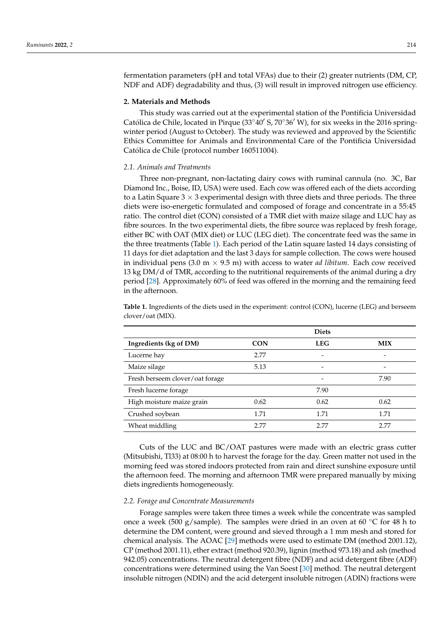fermentation parameters (pH and total VFAs) due to their (2) greater nutrients (DM, CP, NDF and ADF) degradability and thus, (3) will result in improved nitrogen use efficiency.

#### **2. Materials and Methods**

This study was carried out at the experimental station of the Pontificia Universidad Católica de Chile, located in Pirque  $(33°40' S, 70°36' W)$ , for six weeks in the 2016 springwinter period (August to October). The study was reviewed and approved by the Scientific Ethics Committee for Animals and Environmental Care of the Pontificia Universidad Católica de Chile (protocol number 160511004).

#### *2.1. Animals and Treatments*

Three non-pregnant, non-lactating dairy cows with ruminal cannula (no. 3C, Bar Diamond Inc., Boise, ID, USA) were used. Each cow was offered each of the diets according to a Latin Square  $3 \times 3$  experimental design with three diets and three periods. The three diets were iso-energetic formulated and composed of forage and concentrate in a 55:45 ratio. The control diet (CON) consisted of a TMR diet with maize silage and LUC hay as fibre sources. In the two experimental diets, the fibre source was replaced by fresh forage, either BC with OAT (MIX diet) or LUC (LEG diet). The concentrate feed was the same in the three treatments (Table [1\)](#page-3-0). Each period of the Latin square lasted 14 days consisting of 11 days for diet adaptation and the last 3 days for sample collection. The cows were housed in individual pens  $(3.0 \text{ m} \times 9.5 \text{ m})$  with access to water *ad libitum*. Each cow received 13 kg DM/d of TMR, according to the nutritional requirements of the animal during a dry period [\[28\]](#page-13-20). Approximately 60% of feed was offered in the morning and the remaining feed in the afternoon.

|                                 |            | <b>Diets</b> |            |
|---------------------------------|------------|--------------|------------|
| Ingredients (kg of DM)          | <b>CON</b> | <b>LEG</b>   | <b>MIX</b> |
| Lucerne hay                     | 2.77       |              |            |
| Maize silage                    | 5.13       |              |            |
| Fresh berseem clover/oat forage |            |              | 7.90       |
| Fresh lucerne forage            |            | 7.90         |            |
| High moisture maize grain       | 0.62       | 0.62         | 0.62       |
| Crushed soybean                 | 1.71       | 1.71         | 1.71       |
| Wheat middling                  | 2.77       | 2.77         | 2.77       |

<span id="page-3-0"></span>**Table 1.** Ingredients of the diets used in the experiment: control (CON), lucerne (LEG) and berseem clover/oat (MIX).

Cuts of the LUC and BC/OAT pastures were made with an electric grass cutter (Mitsubishi, Tl33) at 08:00 h to harvest the forage for the day. Green matter not used in the morning feed was stored indoors protected from rain and direct sunshine exposure until the afternoon feed. The morning and afternoon TMR were prepared manually by mixing diets ingredients homogeneously.

#### *2.2. Forage and Concentrate Measurements*

Forage samples were taken three times a week while the concentrate was sampled once a week (500 g/sample). The samples were dried in an oven at 60  $\degree$ C for 48 h to determine the DM content, were ground and sieved through a 1 mm mesh and stored for chemical analysis. The AOAC [\[29\]](#page-13-21) methods were used to estimate DM (method 2001.12), CP (method 2001.11), ether extract (method 920.39), lignin (method 973.18) and ash (method 942.05) concentrations. The neutral detergent fibre (NDF) and acid detergent fibre (ADF) concentrations were determined using the Van Soest [\[30\]](#page-13-22) method. The neutral detergent insoluble nitrogen (NDIN) and the acid detergent insoluble nitrogen (ADIN) fractions were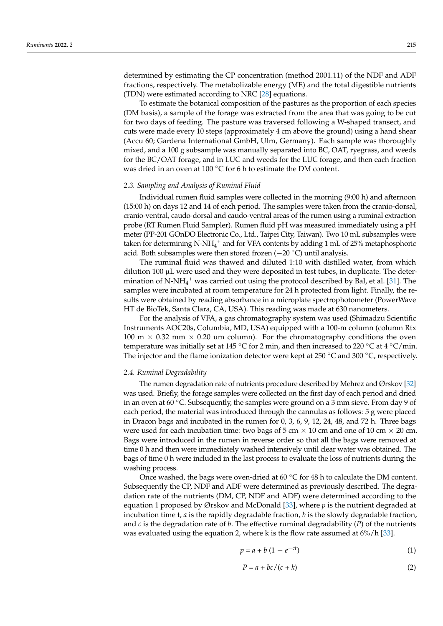determined by estimating the CP concentration (method 2001.11) of the NDF and ADF fractions, respectively. The metabolizable energy (ME) and the total digestible nutrients (TDN) were estimated according to NRC [\[28\]](#page-13-20) equations.

To estimate the botanical composition of the pastures as the proportion of each species (DM basis), a sample of the forage was extracted from the area that was going to be cut for two days of feeding. The pasture was traversed following a W-shaped transect, and cuts were made every 10 steps (approximately 4 cm above the ground) using a hand shear (Accu 60; Gardena International GmbH, Ulm, Germany). Each sample was thoroughly mixed, and a 100 g subsample was manually separated into BC, OAT, ryegrass, and weeds for the BC/OAT forage, and in LUC and weeds for the LUC forage, and then each fraction was dried in an oven at 100 ◦C for 6 h to estimate the DM content.

#### *2.3. Sampling and Analysis of Ruminal Fluid*

Individual rumen fluid samples were collected in the morning (9:00 h) and afternoon (15:00 h) on days 12 and 14 of each period. The samples were taken from the cranio-dorsal, cranio-ventral, caudo-dorsal and caudo-ventral areas of the rumen using a ruminal extraction probe (RT Rumen Fluid Sampler). Rumen fluid pH was measured immediately using a pH meter (PP-201 GOnDO Electronic Co., Ltd., Taipei City, Taiwan). Two 10 mL subsamples were taken for determining N-NH<sub>4</sub><sup>+</sup> and for VFA contents by adding 1 mL of 25% metaphosphoric acid. Both subsamples were then stored frozen (−20 ◦C) until analysis.

The ruminal fluid was thawed and diluted 1:10 with distilled water, from which dilution 100  $\mu$ L were used and they were deposited in test tubes, in duplicate. The determination of N-N $H_4$ <sup>+</sup> was carried out using the protocol described by Bal, et al. [\[31\]](#page-13-23). The samples were incubated at room temperature for 24 h protected from light. Finally, the results were obtained by reading absorbance in a microplate spectrophotometer (PowerWave HT de BioTek, Santa Clara, CA, USA). This reading was made at 630 nanometers.

For the analysis of VFA, a gas chromatography system was used (Shimadzu Scientific Instruments AOC20s, Columbia, MD, USA) equipped with a 100-m column (column Rtx 100 m  $\times$  0.32 mm  $\times$  0.20 um column). For the chromatography conditions the oven temperature was initially set at 145 °C for 2 min, and then increased to 220 °C at 4 °C/min. The injector and the flame ionization detector were kept at 250  $\degree$ C and 300  $\degree$ C, respectively.

#### *2.4. Ruminal Degradability*

The rumen degradation rate of nutrients procedure described by Mehrez and Ørskov [\[32\]](#page-13-24) was used. Briefly, the forage samples were collected on the first day of each period and dried in an oven at 60  $\degree$ C. Subsequently, the samples were ground on a 3 mm sieve. From day 9 of each period, the material was introduced through the cannulas as follows: 5 g were placed in Dracon bags and incubated in the rumen for 0, 3, 6, 9, 12, 24, 48, and 72 h. Three bags were used for each incubation time: two bags of  $5 \text{ cm} \times 10 \text{ cm}$  and one of  $10 \text{ cm} \times 20 \text{ cm}$ . Bags were introduced in the rumen in reverse order so that all the bags were removed at time 0 h and then were immediately washed intensively until clear water was obtained. The bags of time 0 h were included in the last process to evaluate the loss of nutrients during the washing process.

Once washed, the bags were oven-dried at  $60^{\circ}$ C for 48 h to calculate the DM content. Subsequently the CP, NDF and ADF were determined as previously described. The degradation rate of the nutrients (DM, CP, NDF and ADF) were determined according to the equation 1 proposed by Ørskov and McDonald [\[33\]](#page-13-25), where *p* is the nutrient degraded at incubation time t, *a* is the rapidly degradable fraction, *b* is the slowly degradable fraction, and *c* is the degradation rate of *b*. The effective ruminal degradability (*P*) of the nutrients was evaluated using the equation 2, where k is the flow rate assumed at 6%/h [\[33\]](#page-13-25).

$$
p = a + b \left(1 - e^{-ct}\right) \tag{1}
$$

$$
P = a + bc/(c + k) \tag{2}
$$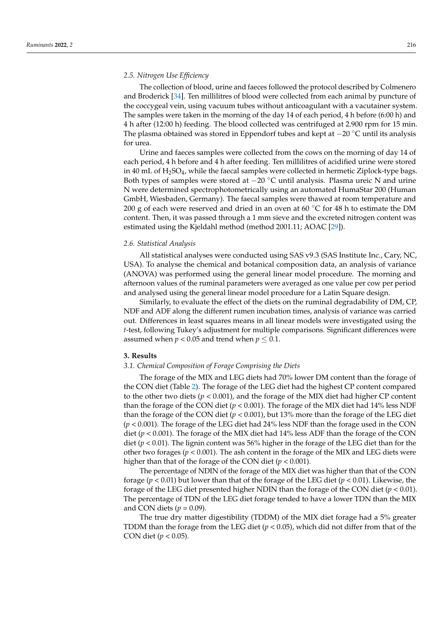#### *2.5. Nitrogen Use Efficiency*

The collection of blood, urine and faeces followed the protocol described by Colmenero and Broderick [\[34\]](#page-13-26). Ten millilitres of blood were collected from each animal by puncture of the coccygeal vein, using vacuum tubes without anticoagulant with a vacutainer system. The samples were taken in the morning of the day 14 of each period, 4 h before (6:00 h) and 4 h after (12:00 h) feeding. The blood collected was centrifuged at 2.900 rpm for 15 min. The plasma obtained was stored in Eppendorf tubes and kept at  $-20$  °C until its analysis for urea.

Urine and faeces samples were collected from the cows on the morning of day 14 of each period, 4 h before and 4 h after feeding. Ten millilitres of acidified urine were stored in 40 mL of H2SO4, while the faecal samples were collected in hermetic Ziplock-type bags. Both types of samples were stored at −20 ◦C until analysis. Plasma ureic N and urine N were determined spectrophotometrically using an automated HumaStar 200 (Human GmbH, Wiesbaden, Germany). The faecal samples were thawed at room temperature and 200 g of each were reserved and dried in an oven at 60 °C for 48 h to estimate the DM content. Then, it was passed through a 1 mm sieve and the excreted nitrogen content was estimated using the Kjeldahl method (method 2001.11; AOAC [\[29\]](#page-13-21)).

#### *2.6. Statistical Analysis*

All statistical analyses were conducted using SAS v9.3 (SAS Institute Inc., Cary, NC, USA). To analyse the chemical and botanical composition data, an analysis of variance (ANOVA) was performed using the general linear model procedure. The morning and afternoon values of the ruminal parameters were averaged as one value per cow per period and analysed using the general linear model procedure for a Latin Square design.

Similarly, to evaluate the effect of the diets on the ruminal degradability of DM, CP, NDF and ADF along the different rumen incubation times, analysis of variance was carried out. Differences in least squares means in all linear models were investigated using the *t*-test, following Tukey's adjustment for multiple comparisons. Significant differences were assumed when  $p < 0.05$  and trend when  $p \leq 0.1$ .

#### **3. Results**

#### *3.1. Chemical Composition of Forage Comprising the Diets*

The forage of the MIX and LEG diets had 70% lower DM content than the forage of the CON diet (Table [2\)](#page-6-0). The forage of the LEG diet had the highest CP content compared to the other two diets (*p* < 0.001), and the forage of the MIX diet had higher CP content than the forage of the CON diet  $(p < 0.001)$ . The forage of the MIX diet had 14% less NDF than the forage of the CON diet  $(p < 0.001)$ , but 13% more than the forage of the LEG diet (*p* < 0.001). The forage of the LEG diet had 24% less NDF than the forage used in the CON diet (*p* < 0.001). The forage of the MIX diet had 14% less ADF than the forage of the CON diet ( $p < 0.01$ ). The lignin content was 56% higher in the forage of the LEG diet than for the other two forages ( $p < 0.001$ ). The ash content in the forage of the MIX and LEG diets were higher than that of the forage of the CON diet (*p* < 0.001).

The percentage of NDIN of the forage of the MIX diet was higher than that of the CON forage ( $p < 0.01$ ) but lower than that of the forage of the LEG diet ( $p < 0.01$ ). Likewise, the forage of the LEG diet presented higher NDIN than the forage of the CON diet  $(p < 0.01)$ . The percentage of TDN of the LEG diet forage tended to have a lower TDN than the MIX and CON diets  $(p = 0.09)$ .

The true dry matter digestibility (TDDM) of the MIX diet forage had a 5% greater TDDM than the forage from the LEG diet (*p* < 0.05), which did not differ from that of the CON diet (*p* < 0.05).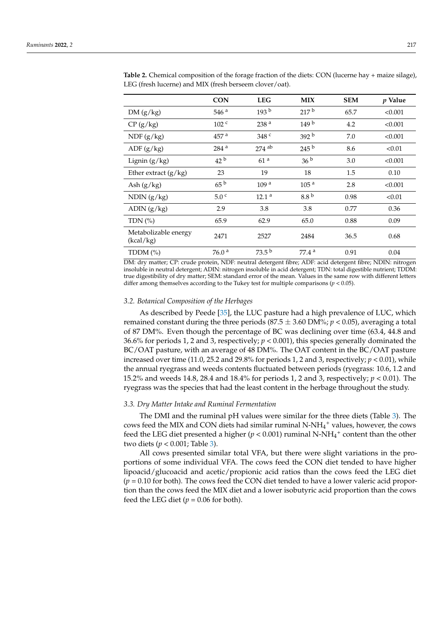|                                   | <b>CON</b>        | <b>LEG</b>          | <b>MIX</b>        | <b>SEM</b> | $p$ Value |
|-----------------------------------|-------------------|---------------------|-------------------|------------|-----------|
| DM(g/kg)                          | 546 <sup>a</sup>  | 193 <sup>b</sup>    | 217 <sup>b</sup>  | 65.7       | < 0.001   |
| CP (g/kg)                         | 102 <sup>c</sup>  | 238 <sup>a</sup>    | 149 <sup>b</sup>  | 4.2        | < 0.001   |
| NDF(g/kg)                         | 457 <sup>a</sup>  | 348 <sup>c</sup>    | 392 <sup>b</sup>  | 7.0        | < 0.001   |
| ADF(g/kg)                         | 284 $a$           | $274$ <sup>ab</sup> | 245 <sup>b</sup>  | 8.6        | < 0.01    |
| Lignin $(g/kg)$                   | 42 <sup>b</sup>   | 61 <sup>a</sup>     | 36 <sup>b</sup>   | 3.0        | < 0.001   |
| Ether extract $(g/kg)$            | 23                | 19                  | 18                | 1.5        | 0.10      |
| Ash $(g/kg)$                      | 65 <sup>b</sup>   | 109 <sup>a</sup>    | 105 <sup>a</sup>  | 2.8        | < 0.001   |
| NDIN $(g/kg)$                     | 5.0 <sup>c</sup>  | 12.1 <sup>a</sup>   | 8.8 <sup>b</sup>  | 0.98       | < 0.01    |
| ADIN $(g/kg)$                     | 2.9               | 3.8                 | 3.8               | 0.77       | 0.36      |
| TDN $(%)$                         | 65.9              | 62.9                | 65.0              | 0.88       | 0.09      |
| Metabolizable energy<br>(kcal/kg) | 2471              | 2527                | 2484              | 36.5       | 0.68      |
| TDDM $(\%)$                       | 76.0 <sup>a</sup> | $73.5^{b}$          | 77.4 <sup>a</sup> | 0.91       | 0.04      |

<span id="page-6-0"></span>**Table 2.** Chemical composition of the forage fraction of the diets: CON (lucerne hay + maize silage), LEG (fresh lucerne) and MIX (fresh berseem clover/oat).

DM: dry matter; CP: crude protein, NDF: neutral detergent fibre; ADF: acid detergent fibre; NDIN: nitrogen insoluble in neutral detergent; ADIN: nitrogen insoluble in acid detergent; TDN: total digestible nutrient; TDDM: true digestibility of dry matter; SEM: standard error of the mean. Values in the same row with different letters differ among themselves according to the Tukey test for multiple comparisons ( $p < 0.05$ ).

#### *3.2. Botanical Composition of the Herbages*

As described by Peede [\[35\]](#page-13-27), the LUC pasture had a high prevalence of LUC, which remained constant during the three periods  $(87.5 \pm 3.60 \text{ DM\%}; p < 0.05)$ , averaging a total of 87 DM%. Even though the percentage of BC was declining over time (63.4, 44.8 and 36.6% for periods 1, 2 and 3, respectively; *p* < 0.001), this species generally dominated the BC/OAT pasture, with an average of 48 DM%. The OAT content in the BC/OAT pasture increased over time (11.0, 25.2 and 29.8% for periods 1, 2 and 3, respectively;  $p < 0.01$ ), while the annual ryegrass and weeds contents fluctuated between periods (ryegrass: 10.6, 1.2 and 15.2% and weeds 14.8, 28.4 and 18.4% for periods 1, 2 and 3, respectively; *p* < 0.01). The ryegrass was the species that had the least content in the herbage throughout the study.

#### *3.3. Dry Matter Intake and Ruminal Fermentation*

The DMI and the ruminal pH values were similar for the three diets (Table [3\)](#page-7-0). The cows feed the MIX and CON diets had similar ruminal N-NH<sub>4</sub><sup>+</sup> values, however, the cows feed the LEG diet presented a higher ( $p < 0.001$ ) ruminal N-NH<sub>4</sub><sup>+</sup> content than the other two diets (*p* < 0.001; Table [3\)](#page-7-0).

All cows presented similar total VFA, but there were slight variations in the proportions of some individual VFA. The cows feed the CON diet tended to have higher lipoacid/glucoacid and acetic/propionic acid ratios than the cows feed the LEG diet  $(p = 0.10$  for both). The cows feed the CON diet tended to have a lower valeric acid proportion than the cows feed the MIX diet and a lower isobutyric acid proportion than the cows feed the LEG diet  $(p = 0.06$  for both).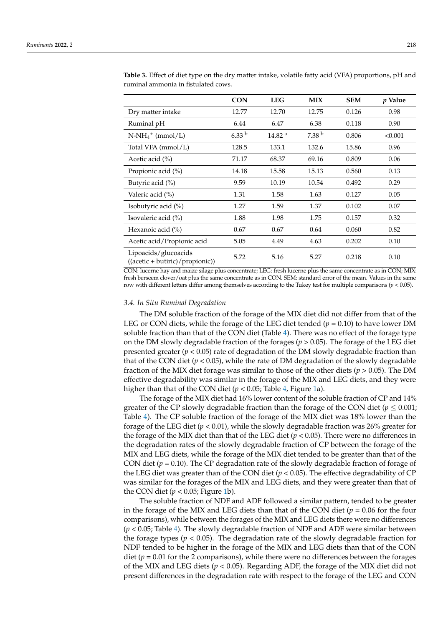|                                                                                  | <b>CON</b> | <b>LEG</b>         | <b>MIX</b>        | <b>SEM</b> | $p$ Value |
|----------------------------------------------------------------------------------|------------|--------------------|-------------------|------------|-----------|
| Dry matter intake                                                                | 12.77      | 12.70              | 12.75             | 0.126      | 0.98      |
| Ruminal pH                                                                       | 6.44       | 6.47               | 6.38              | 0.118      | 0.90      |
| $N-NH_4$ <sup>+</sup> (mmol/L)                                                   | $6.33^{b}$ | 14.82 <sup>a</sup> | 7.38 <sup>b</sup> | 0.806      | < 0.001   |
| Total VFA (mmol/L)                                                               | 128.5      | 133.1              | 132.6             | 15.86      | 0.96      |
| Acetic acid $(\% )$                                                              | 71.17      | 68.37              | 69.16             | 0.809      | 0.06      |
| Propionic acid (%)                                                               | 14.18      | 15.58              | 15.13             | 0.560      | 0.13      |
| Butyric acid (%)                                                                 | 9.59       | 10.19              | 10.54             | 0.492      | 0.29      |
| Valeric acid (%)                                                                 | 1.31       | 1.58               | 1.63              | 0.127      | 0.05      |
| Isobutyric acid (%)                                                              | 1.27       | 1.59               | 1.37              | 0.102      | 0.07      |
| Isovaleric acid (%)                                                              | 1.88       | 1.98               | 1.75              | 0.157      | 0.32      |
| Hexanoic acid (%)                                                                | 0.67       | 0.67               | 0.64              | 0.060      | 0.82      |
| Acetic acid/Propionic acid                                                       | 5.05       | 4.49               | 4.63              | 0.202      | 0.10      |
| Lipoacids/glucoacids<br>$((\text{acetic} + \text{butiric}) / \text{propionic}))$ | 5.72       | 5.16               | 5.27              | 0.218      | 0.10      |

<span id="page-7-0"></span>**Table 3.** Effect of diet type on the dry matter intake, volatile fatty acid (VFA) proportions, pH and ruminal ammonia in fistulated cows.

CON: lucerne hay and maize silage plus concentrate; LEG: fresh lucerne plus the same concentrate as in CON; MIX: fresh berseem clover/oat plus the same concentrate as in CON. SEM: standard error of the mean. Values in the same row with different letters differ among themselves according to the Tukey test for multiple comparisons (*p* < 0.05).

#### *3.4. In Situ Ruminal Degradation*

The DM soluble fraction of the forage of the MIX diet did not differ from that of the LEG or CON diets, while the forage of the LEG diet tended  $(p = 0.10)$  to have lower DM soluble fraction than that of the CON diet (Table [4\)](#page-8-0). There was no effect of the forage type on the DM slowly degradable fraction of the forages ( $p > 0.05$ ). The forage of the LEG diet presented greater (*p* < 0.05) rate of degradation of the DM slowly degradable fraction than that of the CON diet ( $p < 0.05$ ), while the rate of DM degradation of the slowly degradable fraction of the MIX diet forage was similar to those of the other diets (*p* > 0.05). The DM effective degradability was similar in the forage of the MIX and LEG diets, and they were higher than that of the CON diet  $(p < 0.05)$ ; Table [4,](#page-8-0) Figure [1a](#page-9-0)).

The forage of the MIX diet had 16% lower content of the soluble fraction of CP and 14% greater of the CP slowly degradable fraction than the forage of the CON diet ( $p \leq 0.001$ ; Table [4\)](#page-8-0). The CP soluble fraction of the forage of the MIX diet was 18% lower than the forage of the LEG diet (*p* < 0.01), while the slowly degradable fraction was 26% greater for the forage of the MIX diet than that of the LEG diet ( $p < 0.05$ ). There were no differences in the degradation rates of the slowly degradable fraction of CP between the forage of the MIX and LEG diets, while the forage of the MIX diet tended to be greater than that of the CON diet (*p* = 0.10). The CP degradation rate of the slowly degradable fraction of forage of the LEG diet was greater than of the CON diet ( $p < 0.05$ ). The effective degradability of CP was similar for the forages of the MIX and LEG diets, and they were greater than that of the CON diet  $(p < 0.05$ ; Figure [1b](#page-9-0)).

The soluble fraction of NDF and ADF followed a similar pattern, tended to be greater in the forage of the MIX and LEG diets than that of the CON diet ( $p = 0.06$  for the four comparisons), while between the forages of the MIX and LEG diets there were no differences (*p* < 0.05; Table [4\)](#page-8-0). The slowly degradable fraction of NDF and ADF were similar between the forage types ( $p < 0.05$ ). The degradation rate of the slowly degradable fraction for NDF tended to be higher in the forage of the MIX and LEG diets than that of the CON diet ( $p = 0.01$  for the 2 comparisons), while there were no differences between the forages of the MIX and LEG diets (*p* < 0.05). Regarding ADF, the forage of the MIX diet did not present differences in the degradation rate with respect to the forage of the LEG and CON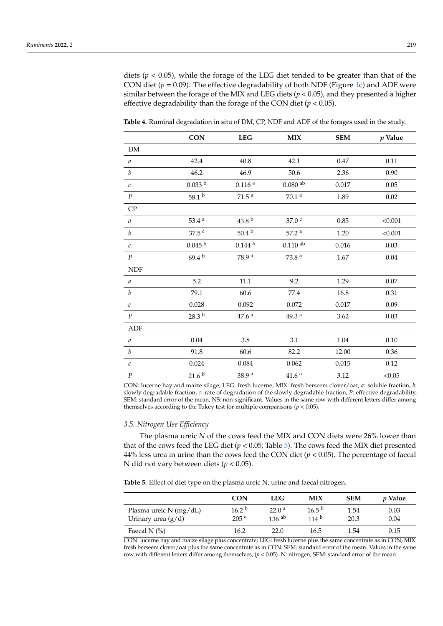diets (*p* < 0.05), while the forage of the LEG diet tended to be greater than that of the CON diet ( $p = 0.09$ ). The effective degradability of both NDF (Figure [1c](#page-9-0)) and ADF were similar between the forage of the MIX and LEG diets (*p* < 0.05), and they presented a higher effective degradability than the forage of the CON diet ( $p < 0.05$ ).

**CON LEG MIX SEM** *p* **Value** DM

<span id="page-8-0"></span>**Table 4.** Ruminal degradation in situ of DM, CP, NDF and ADF of the forages used in the study.

| ${\rm DM}$       |                    |                    |                   |           |          |
|------------------|--------------------|--------------------|-------------------|-----------|----------|
| $\it a$          | 42.4               | 40.8               | 42.1              | 0.47      | 0.11     |
| $\boldsymbol{b}$ | 46.2               | 46.9               | 50.6              | 2.36      | 0.90     |
| $\mathcal C$     | 0.033 <sup>b</sup> | 0.116 <sup>a</sup> | $0.080$ ab        | $0.017\,$ | 0.05     |
| $\cal P$         | 58.1 $^{\rm b}$    | 71.5 <sup>a</sup>  | 70.1 <sup>a</sup> | 1.89      | 0.02     |
| ${\cal CP}$      |                    |                    |                   |           |          |
| $\it a$          | 53.4 $a$           | 43.8 $^{\rm b}$    | 37.0 c            | 0.85      | < 0.001  |
| $\boldsymbol{b}$ | 37.5 c             | $50.4^{b}$         | 57.2 <sup>a</sup> | 1.20      | < 0.001  |
| $\mathcal{C}$    | $0.045^{b}$        | $0.144$ $^{\rm a}$ | $0.110$ ab        | 0.016     | 0.03     |
| $\cal P$         | 69.4 <sup>b</sup>  | 78.9 <sup>a</sup>  | 73.8 $a$          | 1.67      | $0.04\,$ |
| <b>NDF</b>       |                    |                    |                   |           |          |
| $\it a$          | 5.2                | $11.1\,$           | 9.2               | 1.29      | $0.07\,$ |
| $\boldsymbol{b}$ | 79.1               | 60.6               | 77.4              | 16.8      | 0.31     |
| $\mathcal C$     | 0.028              | 0.092              | 0.072             | 0.017     | 0.09     |
| $\cal P$         | 28.3 <sup>b</sup>  | 47.6 <sup>a</sup>  | 49.3 $a$          | 3.62      | 0.03     |
| ${\rm ADF}$      |                    |                    |                   |           |          |
| $\boldsymbol{a}$ | 0.04               | 3.8                | 3.1               | 1.04      | $0.10\,$ |
| $\boldsymbol{b}$ | 91.8               | 60.6               | 82.2              | 12.00     | 0.36     |
| $\mathcal C$     | 0.024              | 0.084              | 0.062             | 0.015     | 0.12     |
| $\boldsymbol{P}$ | $21.6^{b}$         | 38.9 <sup>a</sup>  | 41.6 <sup>a</sup> | 3.12      | < 0.05   |

CON: lucerne hay and maize silage; LEG: fresh lucerne; MIX: fresh berseem clover/oat; *a*: soluble fraction, *b*: slowly degradable fraction, *c*: rate of degradation of the slowly degradable fraction, *P*: effective degradability, SEM: standard error of the mean, NS: non-significant. Values in the same row with different letters differ among themselves according to the Tukey test for multiple comparisons ( $p < 0.05$ ).

#### *3.5. Nitrogen Use Efficiency*

The plasma ureic *N* of the cows feed the MIX and CON diets were 26% lower than that of the cows feed the LEG diet  $(p < 0.05$ ; Table [5\)](#page-8-1). The cows feed the MIX diet presented 44% less urea in urine than the cows feed the CON diet  $(p < 0.05)$ . The percentage of faecal N did not vary between diets (*p* < 0.05).

<span id="page-8-1"></span>**Table 5.** Effect of diet type on the plasma ureic N, urine and faecal nitrogen.

|                                                  | <b>CON</b>                            | <b>LEG</b>                               | MIX                     | <b>SEM</b>   | <i>v</i> Value |
|--------------------------------------------------|---------------------------------------|------------------------------------------|-------------------------|--------------|----------------|
| Plasma ureic $N$ (mg/dL)<br>Urinary urea $(g/d)$ | 16.2 <sup>b</sup><br>205 <sup>a</sup> | 22.0 <sup>a</sup><br>$136$ <sup>ab</sup> | $16.5^{b}$<br>$114^{b}$ | 1.54<br>20.3 | 0.03<br>0.04   |
| Faecal N $(\% )$                                 | 16.2                                  | 22.0                                     | 16.5                    | 1.54         | 0.15           |

CON: lucerne hay and maize silage plus concentrate; LEG: fresh lucerne plus the same concentrate as in CON; MIX: fresh berseem clover/oat plus the same concentrate as in CON. SEM: standard error of the mean. Values in the same row with different letters differ among themselves, (*p* < 0.05). N: nitrogen; SEM: standard error of the mean.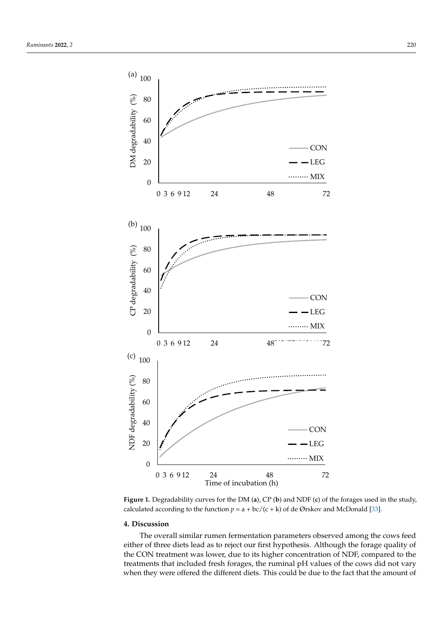

**Figure 1.** Degradability curves for the DM  $(a)$ , CP  $(b)$  and NDF  $(c)$  of the forages used in the study, calculated according to the function  $p = a + bc/(c + k)$  of de Ørskov and McDonald [\[33\]](#page-13-25).

#### **4. Discussion**

<span id="page-9-0"></span>isons (*p* < 0.05).

The overall similar rumen fermentation parameters observed among the cows feed Fire overall simular function termetriation parameters observed allong the cows reed<br>either of three diets lead as to reject our first hypothesis. Although the forage quality of 0.001; Table 4). The CP solution of the CP solution of the MIX diet was 18% lower than  $\alpha$ the CON treatment was lower, due to its higher concentration of NDF, compared to the the stream of the stream is that in the fraction of the stream did not treatment. for the form of the form of the MIX diet than the MIX diet of the LEG diet (*p <sup>or or</sup> 0.05)*. This peerly had the *h* and the the manual of when they were offered the different diets. This could be due to the fact that the amount of treatments that included fresh forages, the ruminal pH values of the cows did not vary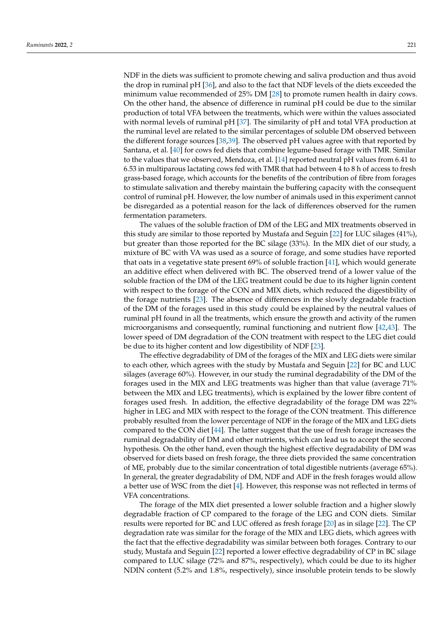NDF in the diets was sufficient to promote chewing and saliva production and thus avoid the drop in ruminal pH [\[36\]](#page-14-0), and also to the fact that NDF levels of the diets exceeded the minimum value recommended of 25% DM [\[28\]](#page-13-20) to promote rumen health in dairy cows. On the other hand, the absence of difference in ruminal pH could be due to the similar production of total VFA between the treatments, which were within the values associated with normal levels of ruminal  $pH$  [\[37\]](#page-14-1). The similarity of  $pH$  and total VFA production at the ruminal level are related to the similar percentages of soluble DM observed between the different forage sources [\[38,](#page-14-2)[39\]](#page-14-3). The observed pH values agree with that reported by Santana, et al. [\[40\]](#page-14-4) for cows fed diets that combine legume-based forage with TMR. Similar to the values that we observed, Mendoza, et al. [\[14\]](#page-13-6) reported neutral pH values from 6.41 to 6.53 in multiparous lactating cows fed with TMR that had between 4 to 8 h of access to fresh grass-based forage, which accounts for the benefits of the contribution of fibre from forages to stimulate salivation and thereby maintain the buffering capacity with the consequent control of ruminal pH. However, the low number of animals used in this experiment cannot be disregarded as a potential reason for the lack of differences observed for the rumen fermentation parameters.

The values of the soluble fraction of DM of the LEG and MIX treatments observed in this study are similar to those reported by Mustafa and Seguin [\[22\]](#page-13-14) for LUC silages (41%), but greater than those reported for the BC silage (33%). In the MIX diet of our study, a mixture of BC with VA was used as a source of forage, and some studies have reported that oats in a vegetative state present 69% of soluble fraction [\[41\]](#page-14-5), which would generate an additive effect when delivered with BC. The observed trend of a lower value of the soluble fraction of the DM of the LEG treatment could be due to its higher lignin content with respect to the forage of the CON and MIX diets, which reduced the digestibility of the forage nutrients [\[23\]](#page-13-15). The absence of differences in the slowly degradable fraction of the DM of the forages used in this study could be explained by the neutral values of ruminal pH found in all the treatments, which ensure the growth and activity of the rumen microorganisms and consequently, ruminal functioning and nutrient flow [\[42,](#page-14-6)[43\]](#page-14-7). The lower speed of DM degradation of the CON treatment with respect to the LEG diet could be due to its higher content and low digestibility of NDF [\[23\]](#page-13-15).

The effective degradability of DM of the forages of the MIX and LEG diets were similar to each other, which agrees with the study by Mustafa and Seguin [\[22\]](#page-13-14) for BC and LUC silages (average 60%). However, in our study the ruminal degradability of the DM of the forages used in the MIX and LEG treatments was higher than that value (average 71% between the MIX and LEG treatments), which is explained by the lower fibre content of forages used fresh. In addition, the effective degradability of the forage DM was 22% higher in LEG and MIX with respect to the forage of the CON treatment. This difference probably resulted from the lower percentage of NDF in the forage of the MIX and LEG diets compared to the CON diet [\[44\]](#page-14-8). The latter suggest that the use of fresh forage increases the ruminal degradability of DM and other nutrients, which can lead us to accept the second hypothesis. On the other hand, even though the highest effective degradability of DM was observed for diets based on fresh forage, the three diets provided the same concentration of ME, probably due to the similar concentration of total digestible nutrients (average 65%). In general, the greater degradability of DM, NDF and ADF in the fresh forages would allow a better use of WSC from the diet [\[4\]](#page-12-3). However, this response was not reflected in terms of VFA concentrations.

The forage of the MIX diet presented a lower soluble fraction and a higher slowly degradable fraction of CP compared to the forage of the LEG and CON diets. Similar results were reported for BC and LUC offered as fresh forage [\[20\]](#page-13-12) as in silage [\[22\]](#page-13-14). The CP degradation rate was similar for the forage of the MIX and LEG diets, which agrees with the fact that the effective degradability was similar between both forages. Contrary to our study, Mustafa and Seguin [\[22\]](#page-13-14) reported a lower effective degradability of CP in BC silage compared to LUC silage (72% and 87%, respectively), which could be due to its higher NDIN content (5.2% and 1.8%, respectively), since insoluble protein tends to be slowly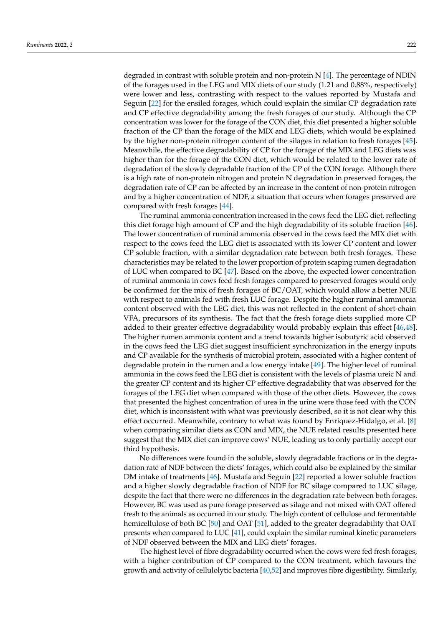degraded in contrast with soluble protein and non-protein N [\[4\]](#page-12-3). The percentage of NDIN of the forages used in the LEG and MIX diets of our study (1.21 and 0.88%, respectively) were lower and less, contrasting with respect to the values reported by Mustafa and Seguin [\[22\]](#page-13-14) for the ensiled forages, which could explain the similar CP degradation rate and CP effective degradability among the fresh forages of our study. Although the CP concentration was lower for the forage of the CON diet, this diet presented a higher soluble fraction of the CP than the forage of the MIX and LEG diets, which would be explained by the higher non-protein nitrogen content of the silages in relation to fresh forages [\[45\]](#page-14-9). Meanwhile, the effective degradability of CP for the forage of the MIX and LEG diets was higher than for the forage of the CON diet, which would be related to the lower rate of degradation of the slowly degradable fraction of the CP of the CON forage. Although there is a high rate of non-protein nitrogen and protein N degradation in preserved forages, the degradation rate of CP can be affected by an increase in the content of non-protein nitrogen and by a higher concentration of NDF, a situation that occurs when forages preserved are compared with fresh forages [\[44\]](#page-14-8).

The ruminal ammonia concentration increased in the cows feed the LEG diet, reflecting this diet forage high amount of CP and the high degradability of its soluble fraction [\[46\]](#page-14-10). The lower concentration of ruminal ammonia observed in the cows feed the MIX diet with respect to the cows feed the LEG diet is associated with its lower CP content and lower CP soluble fraction, with a similar degradation rate between both fresh forages. These characteristics may be related to the lower proportion of protein scaping rumen degradation of LUC when compared to BC [\[47\]](#page-14-11). Based on the above, the expected lower concentration of ruminal ammonia in cows feed fresh forages compared to preserved forages would only be confirmed for the mix of fresh forages of BC/OAT, which would allow a better NUE with respect to animals fed with fresh LUC forage. Despite the higher ruminal ammonia content observed with the LEG diet, this was not reflected in the content of short-chain VFA, precursors of its synthesis. The fact that the fresh forage diets supplied more CP added to their greater effective degradability would probably explain this effect [\[46,](#page-14-10)[48\]](#page-14-12). The higher rumen ammonia content and a trend towards higher isobutyric acid observed in the cows feed the LEG diet suggest insufficient synchronization in the energy inputs and CP available for the synthesis of microbial protein, associated with a higher content of degradable protein in the rumen and a low energy intake [\[49\]](#page-14-13). The higher level of ruminal ammonia in the cows feed the LEG diet is consistent with the levels of plasma ureic N and the greater CP content and its higher CP effective degradability that was observed for the forages of the LEG diet when compared with those of the other diets. However, the cows that presented the highest concentration of urea in the urine were those feed with the CON diet, which is inconsistent with what was previously described, so it is not clear why this effect occurred. Meanwhile, contrary to what was found by Enriquez-Hidalgo, et al. [\[8\]](#page-13-0) when comparing similar diets as CON and MIX, the NUE related results presented here suggest that the MIX diet can improve cows' NUE, leading us to only partially accept our third hypothesis.

No differences were found in the soluble, slowly degradable fractions or in the degradation rate of NDF between the diets' forages, which could also be explained by the similar DM intake of treatments [\[46\]](#page-14-10). Mustafa and Seguin [\[22\]](#page-13-14) reported a lower soluble fraction and a higher slowly degradable fraction of NDF for BC silage compared to LUC silage, despite the fact that there were no differences in the degradation rate between both forages. However, BC was used as pure forage preserved as silage and not mixed with OAT offered fresh to the animals as occurred in our study. The high content of cellulose and fermentable hemicellulose of both BC [\[50\]](#page-14-14) and OAT [\[51\]](#page-14-15), added to the greater degradability that OAT presents when compared to LUC [\[41\]](#page-14-5), could explain the similar ruminal kinetic parameters of NDF observed between the MIX and LEG diets' forages.

The highest level of fibre degradability occurred when the cows were fed fresh forages, with a higher contribution of CP compared to the CON treatment, which favours the growth and activity of cellulolytic bacteria [\[40](#page-14-4)[,52\]](#page-14-16) and improves fibre digestibility. Similarly,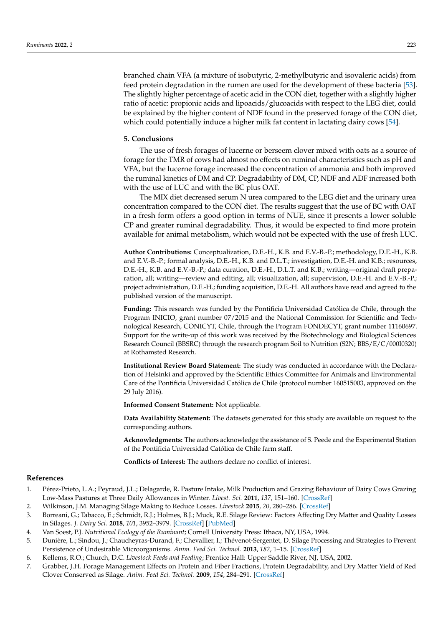branched chain VFA (a mixture of isobutyric, 2-methylbutyric and isovaleric acids) from feed protein degradation in the rumen are used for the development of these bacteria [\[53\]](#page-14-17). The slightly higher percentage of acetic acid in the CON diet, together with a slightly higher ratio of acetic: propionic acids and lipoacids/glucoacids with respect to the LEG diet, could be explained by the higher content of NDF found in the preserved forage of the CON diet, which could potentially induce a higher milk fat content in lactating dairy cows [\[54\]](#page-14-18).

#### **5. Conclusions**

The use of fresh forages of lucerne or berseem clover mixed with oats as a source of forage for the TMR of cows had almost no effects on ruminal characteristics such as pH and VFA, but the lucerne forage increased the concentration of ammonia and both improved the ruminal kinetics of DM and CP. Degradability of DM, CP, NDF and ADF increased both with the use of LUC and with the BC plus OAT.

The MIX diet decreased serum N urea compared to the LEG diet and the urinary urea concentration compared to the CON diet. The results suggest that the use of BC with OAT in a fresh form offers a good option in terms of NUE, since it presents a lower soluble CP and greater ruminal degradability. Thus, it would be expected to find more protein available for animal metabolism, which would not be expected with the use of fresh LUC.

**Author Contributions:** Conceptualization, D.E.-H., K.B. and E.V.-B.-P.; methodology, D.E.-H., K.B. and E.V.-B.-P.; formal analysis, D.E.-H., K.B. and D.L.T.; investigation, D.E.-H. and K.B.; resources, D.E.-H., K.B. and E.V.-B.-P.; data curation, D.E.-H., D.L.T. and K.B.; writing—original draft preparation, all; writing—review and editing, all; visualization, all; supervision, D.E.-H. and E.V.-B.-P.; project administration, D.E.-H.; funding acquisition, D.E.-H. All authors have read and agreed to the published version of the manuscript.

**Funding:** This research was funded by the Pontificia Universidad Católica de Chile, through the Program INICIO, grant number 07/2015 and the National Commission for Scientific and Technological Research, CONICYT, Chile, through the Program FONDECYT, grant number 11160697. Support for the write-up of this work was received by the Biotechnology and Biological Sciences Research Council (BBSRC) through the research program Soil to Nutrition (S2N; BBS/E/C/000I0320) at Rothamsted Research.

**Institutional Review Board Statement:** The study was conducted in accordance with the Declaration of Helsinki and approved by the Scientific Ethics Committee for Animals and Environmental Care of the Pontificia Universidad Católica de Chile (protocol number 160515003, approved on the 29 July 2016).

**Informed Consent Statement:** Not applicable.

**Data Availability Statement:** The datasets generated for this study are available on request to the corresponding authors.

**Acknowledgments:** The authors acknowledge the assistance of S. Peede and the Experimental Station of the Pontificia Universidad Católica de Chile farm staff.

**Conflicts of Interest:** The authors declare no conflict of interest.

#### **References**

- <span id="page-12-0"></span>1. Pérez-Prieto, L.A.; Peyraud, J.L.; Delagarde, R. Pasture Intake, Milk Production and Grazing Behaviour of Dairy Cows Grazing Low-Mass Pastures at Three Daily Allowances in Winter. *Livest. Sci.* **2011**, *137*, 151–160. [\[CrossRef\]](http://doi.org/10.1016/j.livsci.2010.10.013)
- <span id="page-12-1"></span>2. Wilkinson, J.M. Managing Silage Making to Reduce Losses. *Livestock* **2015**, *20*, 280–286. [\[CrossRef\]](http://doi.org/10.12968/live.2015.20.5.280)
- <span id="page-12-2"></span>3. Borreani, G.; Tabacco, E.; Schmidt, R.J.; Holmes, B.J.; Muck, R.E. Silage Review: Factors Affecting Dry Matter and Quality Losses in Silages. *J. Dairy Sci.* **2018**, *101*, 3952–3979. [\[CrossRef\]](http://doi.org/10.3168/jds.2017-13837) [\[PubMed\]](http://www.ncbi.nlm.nih.gov/pubmed/29685272)
- <span id="page-12-3"></span>4. Van Soest, P.J. *Nutritional Ecology of the Ruminant*; Cornell University Press: Ithaca, NY, USA, 1994.
- <span id="page-12-4"></span>5. Dunière, L.; Sindou, J.; Chaucheyras-Durand, F.; Chevallier, I.; Thévenot-Sergentet, D. Silage Processing and Strategies to Prevent Persistence of Undesirable Microorganisms. *Anim. Feed Sci. Technol.* **2013**, *182*, 1–15. [\[CrossRef\]](http://doi.org/10.1016/j.anifeedsci.2013.04.006)
- <span id="page-12-5"></span>6. Kellems, R.O.; Church, D.C. *Livestock Feeds and Feeding*; Prentice Hall: Upper Saddle River, NJ, USA, 2002.
- <span id="page-12-6"></span>7. Grabber, J.H. Forage Management Effects on Protein and Fiber Fractions, Protein Degradability, and Dry Matter Yield of Red Clover Conserved as Silage. *Anim. Feed Sci. Technol.* **2009**, *154*, 284–291. [\[CrossRef\]](http://doi.org/10.1016/j.anifeedsci.2009.09.011)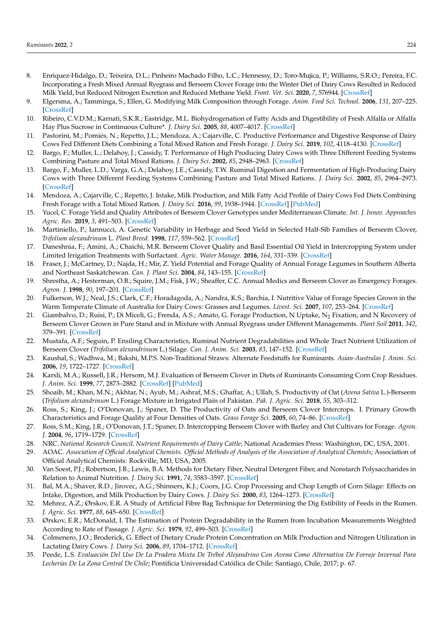- <span id="page-13-0"></span>8. Enriquez-Hidalgo, D.; Teixeira, D.L.; Pinheiro Machado Filho, L.C.; Hennessy, D.; Toro-Mujica, P.; Williams, S.R.O.; Pereira, F.C. Incorporating a Fresh Mixed Annual Ryegrass and Berseem Clover Forage into the Winter Diet of Dairy Cows Resulted in Reduced Milk Yield, but Reduced Nitrogen Excretion and Reduced Methane Yield. *Front. Vet. Sci.* **2020**, *7*, 576944. [\[CrossRef\]](http://doi.org/10.3389/fvets.2020.576944)
- <span id="page-13-1"></span>9. Elgersma, A.; Tamminga, S.; Ellen, G. Modifying Milk Composition through Forage. *Anim. Feed Sci. Technol.* **2006**, *131*, 207–225. [\[CrossRef\]](http://doi.org/10.1016/j.anifeedsci.2006.06.012)
- <span id="page-13-2"></span>10. Ribeiro, C.V.D.M.; Karnati, S.K.R.; Eastridge, M.L. Biohydrogenation of Fatty Acids and Digestibility of Fresh Alfalfa or Alfalfa Hay Plus Sucrose in Continuous Culture\*. *J. Dairy Sci.* **2005**, *88*, 4007–4017. [\[CrossRef\]](http://doi.org/10.3168/jds.S0022-0302(05)73087-3)
- <span id="page-13-3"></span>11. Pastorini, M.; Pomiés, N.; Repetto, J.L.; Mendoza, A.; Cajarville, C. Productive Performance and Digestive Response of Dairy Cows Fed Different Diets Combining a Total Mixed Ration and Fresh Forage. *J. Dairy Sci.* **2019**, *102*, 4118–4130. [\[CrossRef\]](http://doi.org/10.3168/jds.2018-15389)
- <span id="page-13-5"></span>12. Bargo, F.; Muller, L.; Delahoy, J.; Cassidy, T. Performance of High Producing Dairy Cows with Three Different Feeding Systems Combining Pasture and Total Mixed Rations. *J. Dairy Sci.* **2002**, *85*, 2948–2963. [\[CrossRef\]](http://doi.org/10.3168/jds.S0022-0302(02)74381-6)
- <span id="page-13-4"></span>13. Bargo, F.; Muller, L.D.; Varga, G.A.; Delahoy, J.E.; Cassidy, T.W. Ruminal Digestion and Fermentation of High-Producing Dairy Cows with Three Different Feeding Systems Combining Pasture and Total Mixed Rations. *J. Dairy Sci.* **2002**, *85*, 2964–2973. [\[CrossRef\]](http://doi.org/10.3168/jds.S0022-0302(02)74382-8)
- <span id="page-13-6"></span>14. Mendoza, A.; Cajarville, C.; Repetto, J. Intake, Milk Production, and Milk Fatty Acid Profile of Dairy Cows Fed Diets Combining Fresh Forage with a Total Mixed Ration. *J. Dairy Sci.* **2016**, *99*, 1938–1944. [\[CrossRef\]](http://doi.org/10.3168/jds.2015-10257) [\[PubMed\]](http://www.ncbi.nlm.nih.gov/pubmed/26778319)
- <span id="page-13-7"></span>15. Yucel, C. Forage Yield and Quality Attributes of Berseem Clover Genotypes under Mediterranean Climate. *Int. J. Innov. Approaches Agric. Res.* **2019**, *3*, 491–503. [\[CrossRef\]](http://doi.org/10.29329/ijiaar.2019.206.14)
- <span id="page-13-8"></span>16. Martiniello, P.; Iannucci, A. Genetic Variability in Herbage and Seed Yield in Selected Half-Sib Families of Berseem Clover, *Trifolium alexandrinum* L. *Plant Breed.* **1998**, *117*, 559–562. [\[CrossRef\]](http://doi.org/10.1111/j.1439-0523.1998.tb02207.x)
- <span id="page-13-9"></span>17. Daneshnia, F.; Amini, A.; Chaichi, M.R. Berseem Clover Quality and Basil Essential Oil Yield in Intercropping System under Limited Irrigation Treatments with Surfactant. *Agric. Water Manage.* **2016**, *164*, 331–339. [\[CrossRef\]](http://doi.org/10.1016/j.agwat.2015.10.036)
- <span id="page-13-10"></span>18. Fraser, J.; McCartney, D.; Najda, H.; Mir, Z. Yield Potential and Forage Quality of Annual Forage Legumes in Southern Alberta and Northeast Saskatchewan. *Can. J. Plant Sci.* **2004**, *84*, 143–155. [\[CrossRef\]](http://doi.org/10.4141/P02-100)
- <span id="page-13-11"></span>19. Shrestha, A.; Hesterman, O.B.; Squire, J.M.; Fisk, J.W.; Sheaffer, C.C. Annual Medics and Berseem Clover as Emergency Forages. *Agron. J.* **1998**, *90*, 197–201. [\[CrossRef\]](http://doi.org/10.2134/agronj1998.00021962009000020013x)
- <span id="page-13-12"></span>20. Fulkerson, W.J.; Neal, J.S.; Clark, C.F.; Horadagoda, A.; Nandra, K.S.; Barchia, I. Nutritive Value of Forage Species Grown in the Warm Temperate Climate of Australia for Dairy Cows: Grasses and Legumes. *Livest. Sci.* **2007**, *107*, 253–264. [\[CrossRef\]](http://doi.org/10.1016/j.livsci.2006.09.029)
- <span id="page-13-13"></span>21. Giambalvo, D.; Ruisi, P.; Di Miceli, G.; Frenda, A.S.; Amato, G. Forage Production, N Uptake, N<sub>2</sub> Fixation, and N Recovery of Berseem Clover Grown in Pure Stand and in Mixture with Annual Ryegrass under Different Managements. *Plant Soil* **2011**, *342*, 379–391. [\[CrossRef\]](http://doi.org/10.1007/s11104-010-0703-9)
- <span id="page-13-14"></span>22. Mustafa, A.F.; Seguin, P. Ensiling Characteristics, Ruminal Nutrient Degradabilities and Whole Tract Nutrient Utilization of Berseem Clover (*Trifolium alexandrinum* L.) Silage. *Can. J. Anim. Sci.* **2003**, *83*, 147–152. [\[CrossRef\]](http://doi.org/10.4141/A02-050)
- <span id="page-13-15"></span>23. Kaushal, S.; Wadhwa, M.; Bakshi, M.P.S. Non-Traditional Straws: Alternate Feedstuffs for Ruminants. *Asian-Australas J. Anim. Sci.* **2006**, *19*, 1722–1727. [\[CrossRef\]](http://doi.org/10.5713/ajas.2006.1722)
- <span id="page-13-16"></span>24. Karsli, M.A.; Russell, J.R.; Hersom, M.J. Evaluation of Berseem Clover in Diets of Ruminants Consuming Corn Crop Residues. *J. Anim. Sci.* **1999**, *77*, 2873–2882. [\[CrossRef\]](http://doi.org/10.2527/1999.77112873x) [\[PubMed\]](http://www.ncbi.nlm.nih.gov/pubmed/10568454)
- <span id="page-13-17"></span>25. Shoaib, M.; Khan, M.N.; Akhtar, N.; Ayub, M.; Ashraf, M.S.; Ghaffar, A.; Ullah, S. Productivity of Oat (*Avena Sativa* L.)-Berseem (*Trifolium alexandrinum* L.) Forage Mixture in Irrigated Plain of Pakistan. *Pak. J. Agric. Sci.* **2018**, *55*, 303–312.
- <span id="page-13-18"></span>26. Ross, S.; King, J.; O'Donovan, J.; Spaner, D. The Productivity of Oats and Berseem Clover Intercrops. I. Primary Growth Characteristics and Forage Quality at Four Densities of Oats. *Grass Forage Sci.* **2005**, *60*, 74–86. [\[CrossRef\]](http://doi.org/10.1111/j.1365-2494.2005.00455.x)
- <span id="page-13-19"></span>27. Ross, S.M.; King, J.R.; O'Donovan, J.T.; Spaner, D. Intercropping Berseem Clover with Barley and Oat Cultivars for Forage. *Agron. J.* **2004**, *96*, 1719–1729. [\[CrossRef\]](http://doi.org/10.2134/agronj2004.1719)
- <span id="page-13-20"></span>28. NRC. *National Research Council, Nutrient Requirements of Dairy Cattle*; National Academies Press: Washington, DC, USA, 2001.
- <span id="page-13-21"></span>29. AOAC. *Association of Official Analytical Chemists. Official Methods of Analysis of the Association of Analytical Chemists*; Association of Official Analytical Chemists: Rockville, MD, USA, 2005.
- <span id="page-13-22"></span>30. Van Soest, P.J.; Robertson, J.B.; Lewis, B.A. Methods for Dietary Fiber, Neutral Detergent Fiber, and Nonstarch Polysaccharides in Relation to Animal Nutrition. *J. Dairy Sci.* **1991**, *74*, 3583–3597. [\[CrossRef\]](http://doi.org/10.3168/jds.S0022-0302(91)78551-2)
- <span id="page-13-23"></span>31. Bal, M.A.; Shaver, R.D.; Jirovec, A.G.; Shinners, K.J.; Coors, J.G. Crop Processing and Chop Length of Corn Silage: Effects on Intake, Digestion, and Milk Production by Dairy Cows. *J. Dairy Sci.* **2000**, *83*, 1264–1273. [\[CrossRef\]](http://doi.org/10.3168/jds.S0022-0302(00)74993-9)
- <span id="page-13-24"></span>32. Mehrez, A.Z.; Ørskov, E.R. A Study of Artificial Fibre Bag Technique for Determining the Dig Estibility of Feeds in the Rumen. *J. Agric. Sci.* **1977**, *88*, 645–650. [\[CrossRef\]](http://doi.org/10.1017/S0021859600037321)
- <span id="page-13-25"></span>33. Ørskov, E.R.; McDonald, I. The Estimation of Protein Degradability in the Rumen from Incubation Measurements Weighted According to Rate of Passage. *J. Agric. Sci.* **1979**, *92*, 499–503. [\[CrossRef\]](http://doi.org/10.1017/S0021859600063048)
- <span id="page-13-26"></span>34. Colmenero, J.O.; Broderick, G. Effect of Dietary Crude Protein Concentration on Milk Production and Nitrogen Utilization in Lactating Dairy Cows. *J. Dairy Sci.* **2006**, *89*, 1704–1712. [\[CrossRef\]](http://doi.org/10.3168/jds.S0022-0302(06)72238-X)
- <span id="page-13-27"></span>35. Peede, L.S. *Evaluación Del Uso De La Pradera Mixta De Trébol Alejandrino Con Avena Como Alternativa De Forraje Invernal Para Lecherías De La Zona Central De Chile*; Pontificia Universidad Catóilica de Chile: Santiago, Chile, 2017; p. 67.